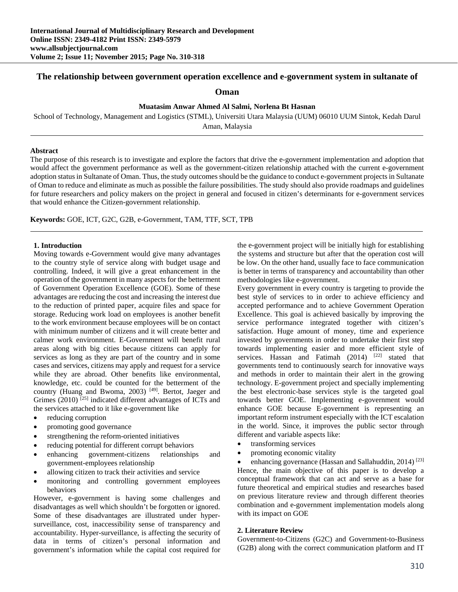# **The relationship between government operation excellence and e-government system in sultanate of**

## **Oman**

# **Muatasim Anwar Ahmed Al Salmi, Norlena Bt Hasnan**

School of Technology, Management and Logistics (STML), Universiti Utara Malaysia (UUM) 06010 UUM Sintok, Kedah Darul

Aman, Malaysia

#### **Abstract**

The purpose of this research is to investigate and explore the factors that drive the e-government implementation and adoption that would affect the government performance as well as the government-citizen relationship attached with the current e-government adoption status in Sultanate of Oman. Thus, the study outcomes should be the guidance to conduct e-government projects in Sultanate of Oman to reduce and eliminate as much as possible the failure possibilities. The study should also provide roadmaps and guidelines for future researchers and policy makers on the project in general and focused in citizen's determinants for e-government services that would enhance the Citizen-government relationship.

**Keywords:** GOE, ICT, G2C, G2B, e-Government, TAM, TTF, SCT, TPB

### **1. Introduction**

Moving towards e-Government would give many advantages to the country style of service along with budget usage and controlling. Indeed, it will give a great enhancement in the operation of the government in many aspects for the betterment of Government Operation Excellence (GOE). Some of these advantages are reducing the cost and increasing the interest due to the reduction of printed paper, acquire files and space for storage. Reducing work load on employees is another benefit to the work environment because employees will be on contact with minimum number of citizens and it will create better and calmer work environment. E-Government will benefit rural areas along with big cities because citizens can apply for services as long as they are part of the country and in some cases and services, citizens may apply and request for a service while they are abroad. Other benefits like environmental, knowledge, etc. could be counted for the betterment of the country (Huang and Bwoma, 2003)<sup>[49]</sup>. Bertot, Jaeger and Grimes  $(2010)$ <sup>[25]</sup> indicated different advantages of ICTs and the services attached to it like e-government like

- reducing corruption
- promoting good governance
- strengthening the reform-oriented initiatives
- reducing potential for different corrupt behaviors
- enhancing government-citizens relationships and government-employees relationship
- allowing citizen to track their activities and service
- monitoring and controlling government employees behaviors

However, e-government is having some challenges and disadvantages as well which shouldn't be forgotten or ignored. Some of these disadvantages are illustrated under hypersurveillance, cost, inaccessibility sense of transparency and accountability. Hyper-surveillance, is affecting the security of data in terms of citizen's personal information and government's information while the capital cost required for

the e-government project will be initially high for establishing the systems and structure but after that the operation cost will be low. On the other hand, usually face to face communication is better in terms of transparency and accountability than other methodologies like e-government.

Every government in every country is targeting to provide the best style of services to in order to achieve efficiency and accepted performance and to achieve Government Operation Excellence. This goal is achieved basically by improving the service performance integrated together with citizen's satisfaction. Huge amount of money, time and experience invested by governments in order to undertake their first step towards implementing easier and more efficient style of services. Hassan and Fatimah  $(2014)$   $[22]$  stated that governments tend to continuously search for innovative ways and methods in order to maintain their alert in the growing technology. E-government project and specially implementing the best electronic-base services style is the targeted goal towards better GOE. Implementing e-government would enhance GOE because E-government is representing an important reform instrument especially with the ICT escalation in the world. Since, it improves the public sector through different and variable aspects like:

- transforming services
- promoting economic vitality

 enhancing governance (Hassan and Sallahuddin, 2014) [23] Hence, the main objective of this paper is to develop a conceptual framework that can act and serve as a base for future theoretical and empirical studies and researches based on previous literature review and through different theories combination and e-government implementation models along with its impact on GOE

#### **2. Literature Review**

Government-to-Citizens (G2C) and Government-to-Business (G2B) along with the correct communication platform and IT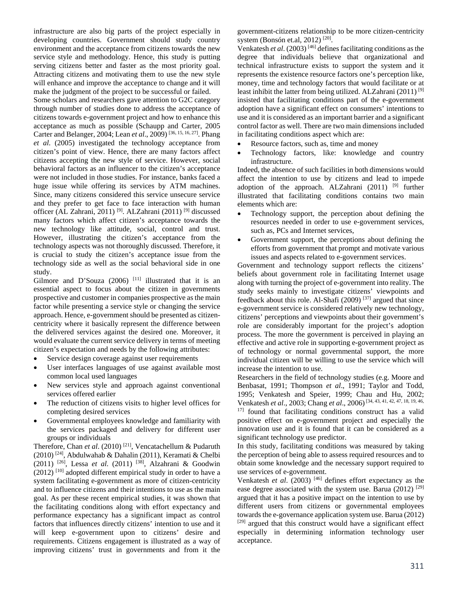infrastructure are also big parts of the project especially in developing countries. Government should study country environment and the acceptance from citizens towards the new service style and methodology. Hence, this study is putting serving citizens better and faster as the most priority goal. Attracting citizens and motivating them to use the new style will enhance and improve the acceptance to change and it will make the judgment of the project to be successful or failed.

Some scholars and researchers gave attention to G2C category through number of studies done to address the acceptance of citizens towards e-government project and how to enhance this acceptance as much as possible (Schaupp and Carter, 2005 Carter and Belanger, 2004; Lean *et al*., 2009) [36, 15, 16, 27]. Phang *et al*. (2005) investigated the technology acceptance from citizen's point of view. Hence, there are many factors affect citizens accepting the new style of service. However, social behavioral factors as an influencer to the citizen's acceptance were not included in those studies. For instance, banks faced a huge issue while offering its services by ATM machines. Since, many citizens considered this service unsecure service and they prefer to get face to face interaction with human officer (AL Zahrani, 2011)<sup>[9]</sup>. ALZahrani (2011)<sup>[9]</sup> discussed many factors which affect citizen's acceptance towards the new technology like attitude, social, control and trust. However, illustrating the citizen's acceptance from the technology aspects was not thoroughly discussed. Therefore, it is crucial to study the citizen's acceptance issue from the technology side as well as the social behavioral side in one study.

Gilmore and D'Souza (2006) <sup>[11]</sup> illustrated that it is an essential aspect to focus about the citizen in governments prospective and customer in companies prospective as the main factor while presenting a service style or changing the service approach. Hence, e-government should be presented as citizencentricity where it basically represent the difference between the delivered services against the desired one. Moreover, it would evaluate the current service delivery in terms of meeting citizen's expectation and needs by the following attributes:

- Service design coverage against user requirements
- User interfaces languages of use against available most common local used languages
- New services style and approach against conventional services offered earlier
- The reduction of citizens visits to higher level offices for completing desired services
- Governmental employees knowledge and familiarity with the services packaged and delivery for different user groups or individuals

Therefore, Chan *et al*. (2010) [21], Vencatachellum & Pudaruth (2010) [24], Abdulwahab & Dahalin (2011), Keramati & Chelbi (2011) [26], Lessa *et al*. (2011) [38], Alzahrani & Goodwin  $(2012)$ <sup>[10]</sup> adopted different empirical study in order to have a system facilitating e-government as more of citizen-centricity and to influence citizens and their intentions to use as the main goal. As per these recent empirical studies, it was shown that the facilitating conditions along with effort expectancy and performance expectancy has a significant impact as control factors that influences directly citizens' intention to use and it will keep e-government upon to citizens' desire and requirements. Citizens engagement is illustrated as a way of improving citizens' trust in governments and from it the

government-citizens relationship to be more citizen-centricity system (Bonsón et.al, 2012)  $[20]$ .

Venkatesh *et al*. (2003) [46] defines facilitating conditions as the degree that individuals believe that organizational and technical infrastructure exists to support the system and it represents the existence resource factors one's perception like, money, time and technology factors that would facilitate or at least inhibit the latter from being utilized. ALZahrani (2011) [9] insisted that facilitating conditions part of the e-government adoption have a significant effect on consumers' intentions to use and it is considered as an important barrier and a significant control factor as well. There are two main dimensions included in facilitating conditions aspect which are:

- Resource factors, such as, time and money
- Technology factors, like: knowledge and country infrastructure.

Indeed, the absence of such facilities in both dimensions would affect the intention to use by citizens and lead to impede adoption of the approach. ALZahrani  $(2011)$  <sup>[9]</sup> further illustrated that facilitating conditions contains two main elements which are:

- Technology support, the perception about defining the resources needed in order to use e-government services, such as, PCs and Internet services,
- Government support, the perceptions about defining the efforts from government that prompt and motivate various issues and aspects related to e-government services.

Government and technology support reflects the citizens' beliefs about government role in facilitating Internet usage along with turning the project of e-government into reality. The study seeks mainly to investigate citizens' viewpoints and feedback about this role. Al-Shafi  $(2009)$ <sup>[37]</sup> argued that since e-government service is considered relatively new technology, citizens' perceptions and viewpoints about their government's role are considerably important for the project's adoption process. The more the government is perceived in playing an effective and active role in supporting e-government project as of technology or normal governmental support, the more individual citizen will be willing to use the service which will increase the intention to use.

Researchers in the field of technology studies (e.g. Moore and Benbasat, 1991; Thompson *et al*., 1991; Taylor and Todd, 1995; Venkatesh and Speier, 1999; Chau and Hu, 2002; Venkatesh *et al*., 2003; Chang *et al*., 2006) [34, 43, 41, 42, 47, 18, 19, 46,

<sup>17]</sup> found that facilitating conditions construct has a valid positive effect on e-government project and especially the innovation use and it is found that it can be considered as a significant technology use predictor.

In this study, facilitating conditions was measured by taking the perception of being able to assess required resources and to obtain some knowledge and the necessary support required to use services of e-government.

Venkatesh *et al*. (2003) [46] defines effort expectancy as the ease degree associated with the system use. Barua (2012) <sup>[29]</sup> argued that it has a positive impact on the intention to use by different users from citizens or governmental employees towards the e-governance application system use. Barua (2012) [29] argued that this construct would have a significant effect especially in determining information technology user acceptance.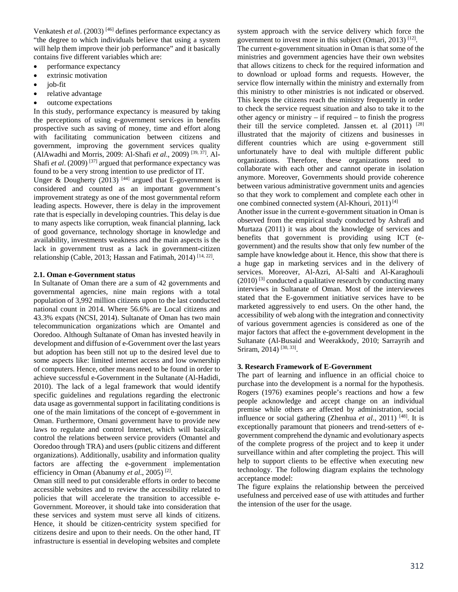Venkatesh *et al*. (2003) [46] defines performance expectancy as "the degree to which individuals believe that using a system will help them improve their job performance" and it basically contains five different variables which are:

- performance expectancy
- extrinsic motivation
- $\bullet$  iob-fit
- relative advantage
- outcome expectations

In this study, performance expectancy is measured by taking the perceptions of using e-government services in benefits prospective such as saving of money, time and effort along with facilitating communication between citizens and government, improving the government services quality (AlAwadhi and Morris, 2009: Al-Shafi *et al*., 2009) [39, 37]. Al-Shafi *et al.* (2009)<sup>[37]</sup> argued that performance expectancy was found to be a very strong intention to use predictor of IT.

Unger & Dougherty (2013)  $[44]$  argued that E-government is considered and counted as an important government's improvement strategy as one of the most governmental reform leading aspects. However, there is delay in the improvement rate that is especially in developing countries. This delay is due to many aspects like corruption, weak financial planning, lack of good governance, technology shortage in knowledge and availability, investments weakness and the main aspects is the lack in government trust as a lack in government-citizen relationship (Cable, 2013; Hassan and Fatimah, 2014) [14, 22].

#### **2.1. Oman e-Government status**

In Sultanate of Oman there are a sum of 42 governments and governmental agencies, nine main regions with a total population of 3,992 million citizens upon to the last conducted national count in 2014. Where 56.6% are Local citizens and 43.3% expats (NCSI, 2014). Sultanate of Oman has two main telecommunication organizations which are Omantel and Ooredoo. Although Sultanate of Oman has invested heavily in development and diffusion of e-Government over the last years but adoption has been still not up to the desired level due to some aspects like: limited internet access and low ownership of computers. Hence, other means need to be found in order to achieve successful e-Government in the Sultanate (Al-Hadidi, 2010). The lack of a legal framework that would identify specific guidelines and regulations regarding the electronic data usage as governmental support in facilitating conditions is one of the main limitations of the concept of e-government in Oman. Furthermore, Omani government have to provide new laws to regulate and control Internet, which will basically control the relations between service providers (Omantel and Ooredoo through TRA) and users (public citizens and different organizations). Additionally, usability and information quality factors are affecting the e-government implementation efficiency in Oman (Abanumy *et al*., 2005) [2].

Oman still need to put considerable efforts in order to become accessible websites and to review the accessibility related to policies that will accelerate the transition to accessible e-Government. Moreover, it should take into consideration that these services and system must serve all kinds of citizens. Hence, it should be citizen-centricity system specified for citizens desire and upon to their needs. On the other hand, IT infrastructure is essential in developing websites and complete system approach with the service delivery which force the government to invest more in this subject (Omari, 2013)<sup>[12]</sup>.

The current e-government situation in Oman is that some of the ministries and government agencies have their own websites that allows citizens to check for the required information and to download or upload forms and requests. However, the service flow internally within the ministry and externally from this ministry to other ministries is not indicated or observed. This keeps the citizens reach the ministry frequently in order to check the service request situation and also to take it to the other agency or ministry  $-$  if required  $-$  to finish the progress their till the service completed. Janssen et. al  $(2011)$  <sup>[28]</sup> illustrated that the majority of citizens and businesses in different countries which are using e-government still unfortunately have to deal with multiple different public organizations. Therefore, these organizations need to collaborate with each other and cannot operate in isolation anymore. Moreover, Governments should provide coherence between various administrative government units and agencies so that they work to complement and complete each other in one combined connected system (Al-Khouri, 2011) [4]

Another issue in the current e-government situation in Oman is observed from the empirical study conducted by Ashrafi and Murtaza (2011) it was about the knowledge of services and benefits that government is providing using ICT (egovernment) and the results show that only few number of the sample have knowledge about it. Hence, this show that there is a huge gap in marketing services and in the delivery of services. Moreover, Al-Azri, Al-Salti and Al-Karaghouli  $(2010)$ <sup>[3]</sup> conducted a qualitative research by conducting many interviews in Sultanate of Oman. Most of the interviewees stated that the E-government initiative services have to be marketed aggressively to end users. On the other hand, the accessibility of web along with the integration and connectivity of various government agencies is considered as one of the major factors that affect the e-government development in the Sultanate (Al-Busaid and Weerakkody, 2010; Sarrayrih and Sriram, 2014)<sup>[30, 33]</sup>.

## **3. Research Framework of E-Government**

The part of learning and influence in an official choice to purchase into the development is a normal for the hypothesis. Rogers (1976) examines people's reactions and how a few people acknowledge and accept change on an individual premise while others are affected by administration, social influence or social gathering (Zhenhua *et al*., 2011) [48]. It is exceptionally paramount that pioneers and trend-setters of egovernment comprehend the dynamic and evolutionary aspects of the complete progress of the project and to keep it under surveillance within and after completing the project. This will help to support clients to be effective when executing new technology. The following diagram explains the technology acceptance model:

The figure explains the relationship between the perceived usefulness and perceived ease of use with attitudes and further the intension of the user for the usage.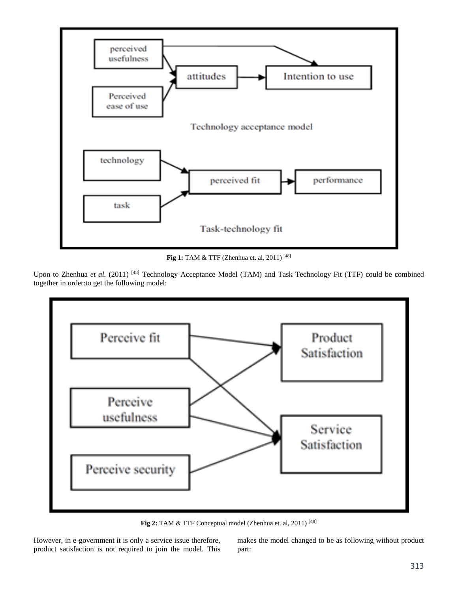

**Fig 1:** TAM & TTF (Zhenhua et. al, 2011)<sup>[48]</sup>

Upon to Zhenhua et al. (2011) <sup>[48]</sup> Technology Acceptance Model (TAM) and Task Technology Fit (TTF) could be combined together in order:to get the following model:



**Fig 2:** TAM & TTF Conceptual model (Zhenhua et. al, 2011) [48]

However, in e-government it is only a service issue therefore, product satisfaction is not required to join the model. This makes the model changed to be as following without product part: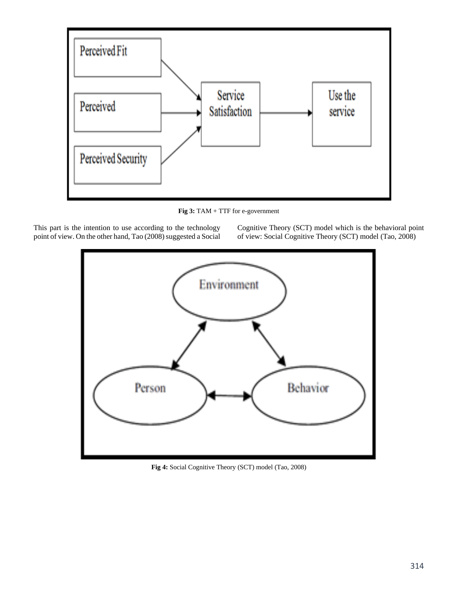

**Fig 3:** TAM + TTF for e-government

This part is the intention to use according to the technology point of view. On the other hand, Tao (2008) suggested a Social Cognitive Theory (SCT) model which is the behavioral point of view: Social Cognitive Theory (SCT) model (Tao, 2008)



**Fig 4:** Social Cognitive Theory (SCT) model (Tao, 2008)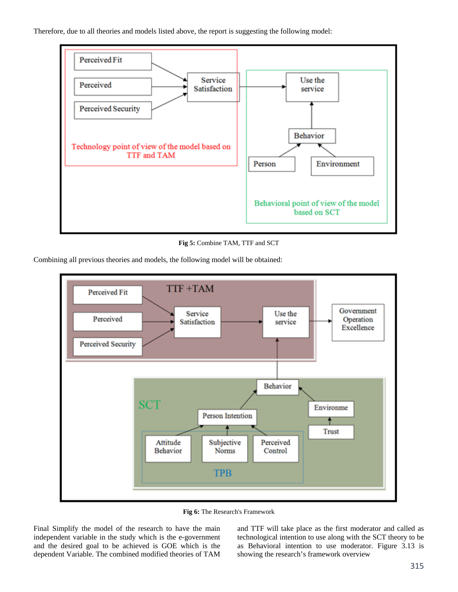Therefore, due to all theories and models listed above, the report is suggesting the following model:



**Fig 5:** Combine TAM, TTF and SCT

Combining all previous theories and models, the following model will be obtained:



**Fig 6:** The Research's Framework

Final Simplify the model of the research to have the main independent variable in the study which is the e-government and the desired goal to be achieved is GOE which is the dependent Variable. The combined modified theories of TAM

and TTF will take place as the first moderator and called as technological intention to use along with the SCT theory to be as Behavioral intention to use moderator. Figure 3.13 is showing the research's framework overview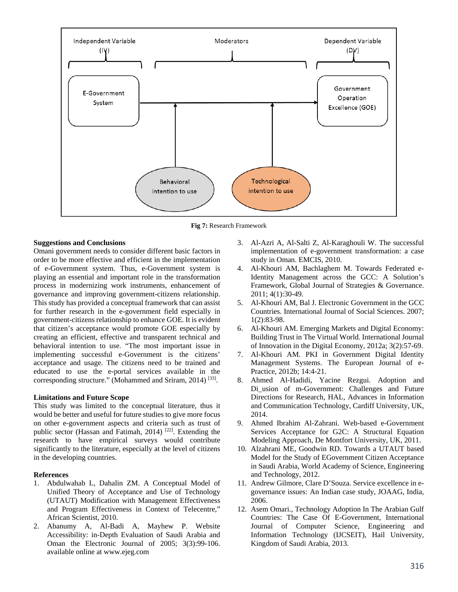

**Fig 7:** Research Framework

## **Suggestions and Conclusions**

Omani government needs to consider different basic factors in order to be more effective and efficient in the implementation of e-Government system. Thus, e-Government system is playing an essential and important role in the transformation process in modernizing work instruments, enhancement of governance and improving government-citizens relationship. This study has provided a conceptual framework that can assist for further research in the e-government field especially in government-citizens relationship to enhance GOE. It is evident that citizen's acceptance would promote GOE especially by creating an efficient, effective and transparent technical and behavioral intention to use. "The most important issue in implementing successful e-Government is the citizens' acceptance and usage. The citizens need to be trained and educated to use the e-portal services available in the corresponding structure." (Mohammed and Sriram, 2014) [33].

## **Limitations and Future Scope**

This study was limited to the conceptual literature, thus it would be better and useful for future studies to give more focus on other e-government aspects and criteria such as trust of public sector (Hassan and Fatimah, 2014)<sup>[22]</sup>. Extending the research to have empirical surveys would contribute significantly to the literature, especially at the level of citizens in the developing countries.

## **References**

- 1. Abdulwahab L, Dahalin ZM. A Conceptual Model of Unified Theory of Acceptance and Use of Technology (UTAUT) Modification with Management Effectiveness and Program Effectiveness in Context of Telecentre," African Scientist, 2010.
- 2. Abanumy A, Al-Badi A, Mayhew P. Website Accessibility: in-Depth Evaluation of Saudi Arabia and Oman the Electronic Journal of 2005; 3(3):99-106. available online at www.ejeg.com
- 3. Al-Azri A, Al-Salti Z, Al-Karaghouli W. The successful implementation of e-government transformation: a case study in Oman. EMCIS, 2010.
- 4. Al-Khouri AM, Bachlaghem M. Towards Federated e-Identity Management across the GCC: A Solution's Framework, Global Journal of Strategies & Governance. 2011; 4(1):30-49.
- 5. Al-Khouri AM, Bal J. Electronic Government in the GCC Countries. International Journal of Social Sciences. 2007; 1(2):83-98.
- 6. Al-Khouri AM. Emerging Markets and Digital Economy: Building Trust in The Virtual World. International Journal of Innovation in the Digital Economy, 2012a; 3(2):57-69.
- 7. Al-Khouri AM. PKI in Government Digital Identity Management Systems. The European Journal of e-Practice, 2012b; 14:4-21.
- 8. Ahmed Al-Hadidi, Yacine Rezgui. Adoption and Di usion of m-Government: Challenges and Future Directions for Research, HAL, Advances in Information and Communication Technology, Cardiff University, UK, 2014.
- 9. Ahmed Ibrahim Al-Zahrani. Web-based e-Government Services Acceptance for G2C: A Structural Equation Modeling Approach, De Montfort University, UK, 2011.
- 10. Alzahrani ME, Goodwin RD. Towards a UTAUT based Model for the Study of EGovernment Citizen Acceptance in Saudi Arabia, World Academy of Science, Engineering and Technology, 2012.
- 11. Andrew Gilmore, Clare D'Souza. Service excellence in egovernance issues: An Indian case study, JOAAG, India, 2006.
- 12. Asem Omari., Technology Adoption In The Arabian Gulf Countries: The Case Of E-Government, International Journal of Computer Science, Engineering and Information Technology (IJCSEIT), Hail University, Kingdom of Saudi Arabia, 2013.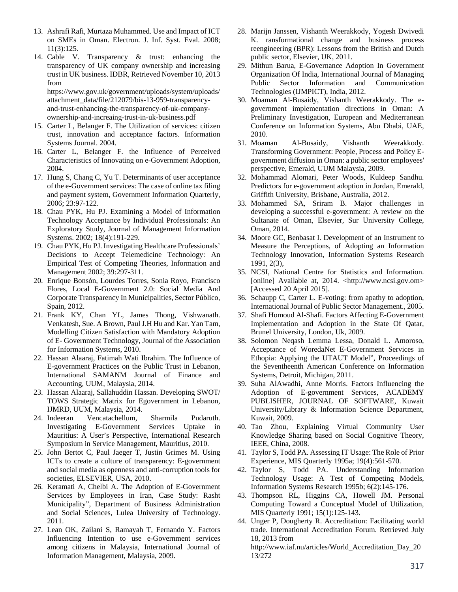- 13. Ashrafi Rafi, Murtaza Muhammed. Use and Impact of ICT on SMEs in Oman. Electron. J. Inf. Syst. Eval. 2008; 11(3):125.
- 14. Cable V. Transparency & trust: enhancing the transparency of UK company ownership and increasing trust in UK business. IDBR, Retrieved November 10, 2013 from

https://www.gov.uk/government/uploads/system/uploads/ attachment\_data/file/212079/bis-13-959-transparencyand-trust-enhancing-the-transparency-of-uk-companyownership-and-increaing-trust-in-uk-business.pdf

- 15. Carter L, Belanger F. The Utilization of services: citizen trust, innovation and acceptance factors. Information Systems Journal. 2004.
- 16. Carter L, Belanger F. the Influence of Perceived Characteristics of Innovating on e-Government Adoption, 2004.
- 17. Hung S, Chang C, Yu T. Determinants of user acceptance of the e-Government services: The case of online tax filing and payment system, Government Information Quarterly, 2006; 23:97-122.
- 18. Chau PYK, Hu PJ. Examining a Model of Information Technology Acceptance by Individual Professionals: An Exploratory Study, Journal of Management Information Systems. 2002; 18(4):191-229.
- 19. Chau PYK, Hu PJ. Investigating Healthcare Professionals' Decisions to Accept Telemedicine Technology: An Empirical Test of Competing Theories, Information and Management 2002; 39:297-311.
- 20. Enrique Bonsón, Lourdes Torres, Sonia Royo, Francisco Flores, Local E-Government 2.0: Social Media And Corporate Transparency In Municipalities, Sector Público, Spain, 2012.
- 21. Frank KY, Chan YL, James Thong, Vishwanath. Venkatesh, Sue. A Brown, Paul J.H Hu and Kar. Yan Tam, Modelling Citizen Satisfaction with Mandatory Adoption of E- Government Technology, Journal of the Association for Information Systems, 2010.
- 22. Hassan Alaaraj, Fatimah Wati Ibrahim. The Influence of E-government Practices on the Public Trust in Lebanon, International SAMANM Journal of Finance and Accounting, UUM, Malaysia, 2014.
- 23. Hassan Alaaraj, Sallahuddin Hassan. Developing SWOT/ TOWS Strategic Matrix for Egovernment in Lebanon, IJMRD, UUM, Malaysia, 2014.
- 24. Indeeran Vencatachellum, Sharmila Pudaruth. Investigating E-Government Services Uptake in Mauritius: A User's Perspective, International Research Symposium in Service Management, Mauritius, 2010.
- 25. John Bertot C, Paul Jaeger T, Justin Grimes M. Using ICTs to create a culture of transparency: E-government and social media as openness and anti-corruption tools for societies, ELSEVIER, USA, 2010.
- 26. Keramati A, Chelbi A. The Adoption of E-Government Services by Employees in Iran, Case Study: Rasht Municipality", Department of Business Administration and Social Sciences, Lulea University of Technology. 2011.
- 27. Lean OK, Zailani S, Ramayah T, Fernando Y. Factors Influencing Intention to use e-Government services among citizens in Malaysia, International Journal of Information Management, Malaysia, 2009.
- 28. Marijn Janssen, Vishanth Weerakkody, Yogesh Dwivedi K. ransformational change and business process reengineering (BPR): Lessons from the British and Dutch public sector, Elsevier, UK, 2011.
- 29. Mithun Barua, E-Governance Adoption In Government Organization Of India, International Journal of Managing Public Sector Information and Communication Technologies (IJMPICT), India, 2012.
- 30. Moaman Al-Busaidy, Vishanth Weerakkody. The egovernment implementation directions in Oman: A Preliminary Investigation, European and Mediterranean Conference on Information Systems, Abu Dhabi, UAE, 2010.
- 31. Moaman Al-Busaidy, Vishanth Weerakkody. Transforming Government: People, Process and Policy Egovernment diffusion in Oman: a public sector employees' perspective, Emerald, UUM Malaysia, 2009.
- 32. Mohammad Alomari, Peter Woods, Kuldeep Sandhu. Predictors for e-government adoption in Jordan, Emerald, Griffith University, Brisbane, Australia, 2012.
- 33. Mohammed SA, Sriram B. Major challenges in developing a successful e-government: A review on the Sultanate of Oman, Elsevier, Sur University College, Oman, 2014.
- 34. Moore GC, Benbasat I. Development of an Instrument to Measure the Perceptions, of Adopting an Information Technology Innovation, Information Systems Research 1991, 2(3),
- 35. NCSI, National Centre for Statistics and Information. [online] Available at, 2014. <http://www.ncsi.gov.om> [Accessed 20 April 2015].
- 36. Schaupp C, Carter L. E-voting: from apathy to adoption, International Journal of Public Sector Management., 2005.
- 37. Shafi Homoud Al-Shafi. Factors Affecting E-Government Implementation and Adoption in the State Of Qatar, Brunel University, London, Uk, 2009.
- 38. Solomon Neqash Lemma Lessa, Donald L. Amoroso, Acceptance of WoredaNet E-Government Services in Ethopia: Applying the UTAUT Model", Proceedings of the Seventheenth American Conference on Information Systems, Detroit, Michigan, 2011.
- 39. Suha AlAwadhi, Anne Morris. Factors Influencing the Adoption of E-government Services, ACADEMY PUBLISHER, JOURNAL OF SOFTWARE, Kuwait University/Library & Information Science Department, Kuwait, 2009.
- 40. Tao Zhou, Explaining Virtual Community User Knowledge Sharing based on Social Cognitive Theory, IEEE, China, 2008.
- 41. Taylor S, Todd PA. Assessing IT Usage: The Role of Prior Experience, MIS Quarterly 1995a; 19(4):561-570.
- 42. Taylor S, Todd PA. Understanding Information Technology Usage: A Test of Competing Models, Information Systems Research 1995b; 6(2):145-176.
- 43. Thompson RL, Higgins CA, Howell JM. Personal Computing Toward a Conceptual Model of Utilization, MIS Quarterly 1991; 15(1):125-143.
- 44. Unger P, Dougherty R. Accreditation: Facilitating world trade. International Accreditation Forum. Retrieved July 18, 2013 from http://www.iaf.nu/articles/World\_Accreditation\_Day\_20 13/272